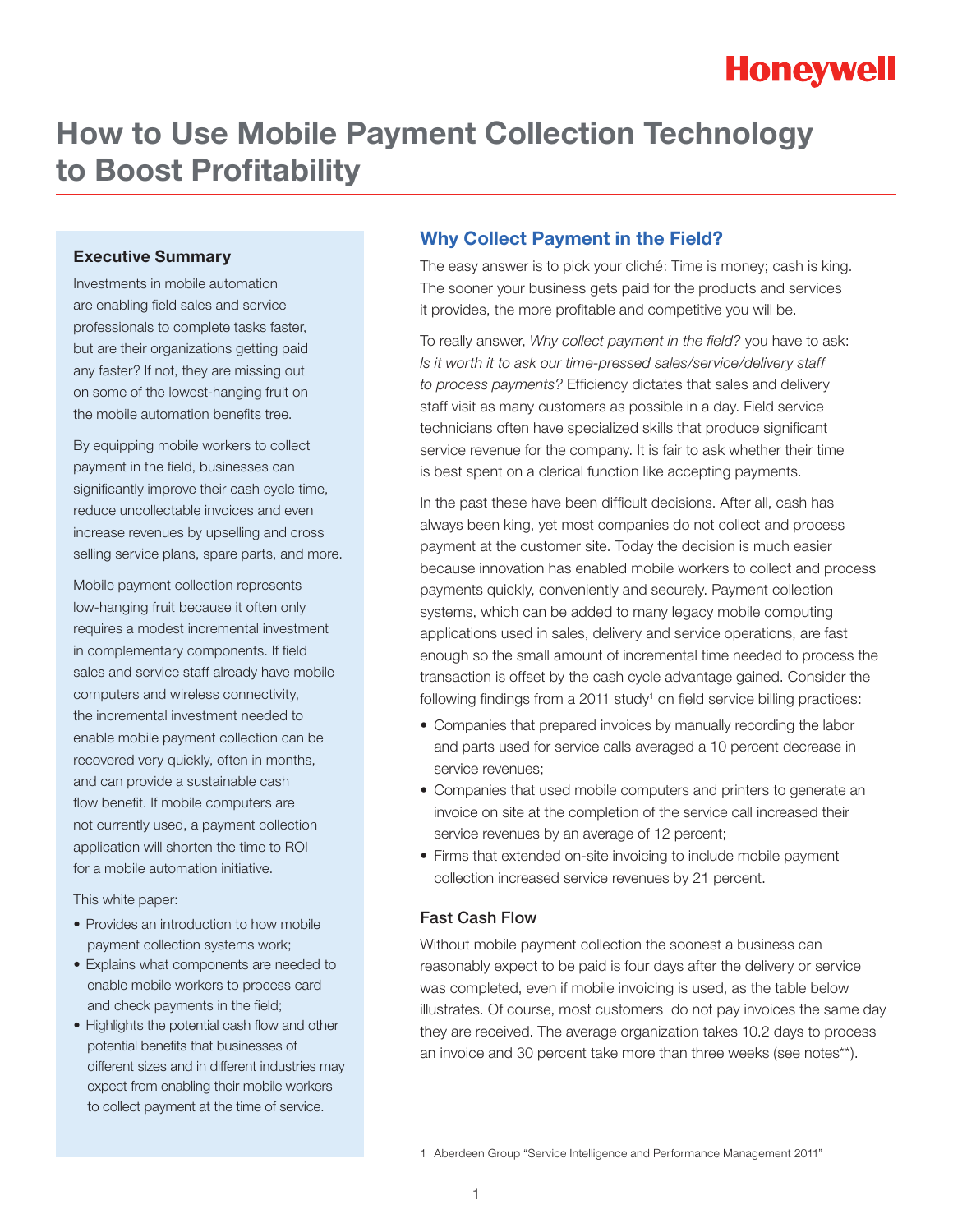## **How to Use Mobile Payment Collection Technology to Boost Profitability**

#### **Executive Summary**

Investments in mobile automation are enabling field sales and service professionals to complete tasks faster, but are their organizations getting paid any faster? If not, they are missing out on some of the lowest-hanging fruit on the mobile automation benefits tree.

By equipping mobile workers to collect payment in the field, businesses can significantly improve their cash cycle time, reduce uncollectable invoices and even increase revenues by upselling and cross selling service plans, spare parts, and more.

Mobile payment collection represents low-hanging fruit because it often only requires a modest incremental investment in complementary components. If field sales and service staff already have mobile computers and wireless connectivity, the incremental investment needed to enable mobile payment collection can be recovered very quickly, often in months, and can provide a sustainable cash flow benefit. If mobile computers are not currently used, a payment collection application will shorten the time to ROI for a mobile automation initiative.

This white paper:

- Provides an introduction to how mobile payment collection systems work;
- Explains what components are needed to enable mobile workers to process card and check payments in the field;
- Highlights the potential cash flow and other potential benefits that businesses of different sizes and in different industries may expect from enabling their mobile workers to collect payment at the time of service.

#### **Why Collect Payment in the Field?**

The easy answer is to pick your cliché: Time is money; cash is king. The sooner your business gets paid for the products and services it provides, the more profitable and competitive you will be.

To really answer, *Why collect payment in the field?* you have to ask: *Is it worth it to ask our time-pressed sales/service/delivery staff to process payments?* Efficiency dictates that sales and delivery staff visit as many customers as possible in a day. Field service technicians often have specialized skills that produce significant service revenue for the company. It is fair to ask whether their time is best spent on a clerical function like accepting payments.

In the past these have been difficult decisions. After all, cash has always been king, yet most companies do not collect and process payment at the customer site. Today the decision is much easier because innovation has enabled mobile workers to collect and process payments quickly, conveniently and securely. Payment collection systems, which can be added to many legacy mobile computing applications used in sales, delivery and service operations, are fast enough so the small amount of incremental time needed to process the transaction is offset by the cash cycle advantage gained. Consider the following findings from a  $2011$  study<sup>1</sup> on field service billing practices:

- Companies that prepared invoices by manually recording the labor and parts used for service calls averaged a 10 percent decrease in service revenues;
- Companies that used mobile computers and printers to generate an invoice on site at the completion of the service call increased their service revenues by an average of 12 percent;
- Firms that extended on-site invoicing to include mobile payment collection increased service revenues by 21 percent.

#### Fast Cash Flow

Without mobile payment collection the soonest a business can reasonably expect to be paid is four days after the delivery or service was completed, even if mobile invoicing is used, as the table below illustrates. Of course, most customers do not pay invoices the same day they are received. The average organization takes 10.2 days to process an invoice and 30 percent take more than three weeks (see notes\*\*).

<sup>1</sup> Aberdeen Group "Service Intelligence and Performance Management 2011"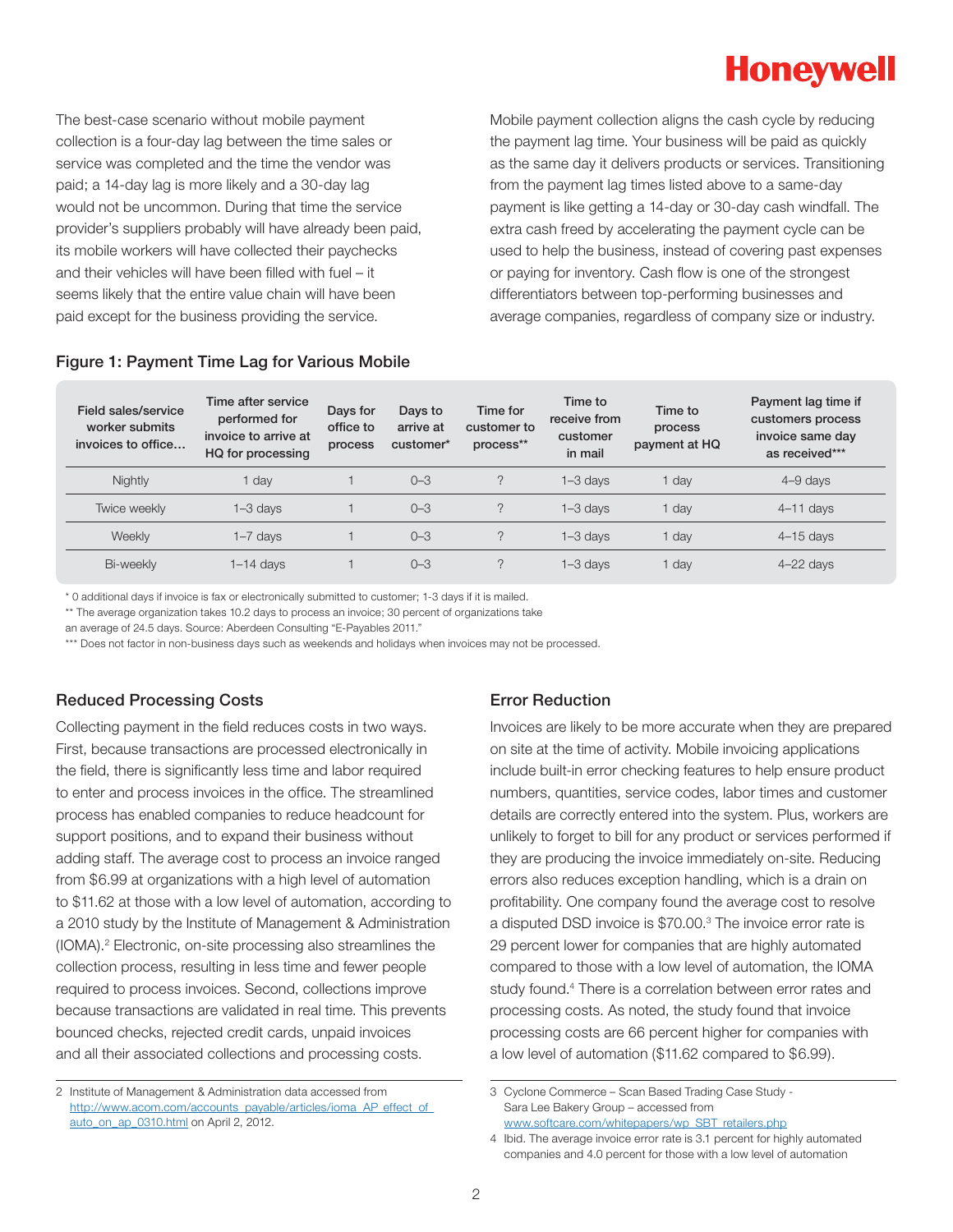The best-case scenario without mobile payment collection is a four-day lag between the time sales or service was completed and the time the vendor was paid; a 14-day lag is more likely and a 30-day lag would not be uncommon. During that time the service provider's suppliers probably will have already been paid, its mobile workers will have collected their paychecks and their vehicles will have been filled with fuel – it seems likely that the entire value chain will have been paid except for the business providing the service.

Mobile payment collection aligns the cash cycle by reducing the payment lag time. Your business will be paid as quickly as the same day it delivers products or services. Transitioning from the payment lag times listed above to a same-day payment is like getting a 14-day or 30-day cash windfall. The extra cash freed by accelerating the payment cycle can be used to help the business, instead of covering past expenses or paying for inventory. Cash flow is one of the strongest differentiators between top-performing businesses and average companies, regardless of company size or industry.

#### Figure 1: Payment Time Lag for Various Mobile

| Field sales/service<br>worker submits<br>invoices to office | Time after service<br>performed for<br>invoice to arrive at<br>HQ for processing | Days for<br>office to<br>process | Days to<br>arrive at<br>customer* | Time for<br>customer to<br>process** | Time to<br>receive from<br>customer<br>in mail | Time to<br>process<br>payment at HQ | Payment lag time if<br>customers process<br>invoice same day<br>as received*** |
|-------------------------------------------------------------|----------------------------------------------------------------------------------|----------------------------------|-----------------------------------|--------------------------------------|------------------------------------------------|-------------------------------------|--------------------------------------------------------------------------------|
| Nightly                                                     | dav                                                                              |                                  | $O - 3$                           | C                                    | $1 - 3$ days                                   | day                                 | $4 - 9$ days                                                                   |
| Twice weekly                                                | $1 - 3$ days                                                                     |                                  | $0 - 3$                           | C                                    | $1 - 3$ days                                   | day                                 | $4-11$ days                                                                    |
| Weekly                                                      | $1 - 7$ days                                                                     |                                  | $0 - 3$                           | C                                    | $1 - 3$ days                                   | dav                                 | $4-15$ days                                                                    |
| Bi-weekly                                                   | $1-14$ days                                                                      |                                  | $0 - 3$                           | $\mathcal{D}$                        | $1 - 3$ days                                   | day                                 | $4 - 22$ days                                                                  |

\* 0 additional days if invoice is fax or electronically submitted to customer; 1-3 days if it is mailed.

\*\* The average organization takes 10.2 days to process an invoice; 30 percent of organizations take

an average of 24.5 days. Source: Aberdeen Consulting "E-Payables 2011."

\*\*\* Does not factor in non-business days such as weekends and holidays when invoices may not be processed.

#### Reduced Processing Costs

Collecting payment in the field reduces costs in two ways. First, because transactions are processed electronically in the field, there is significantly less time and labor required to enter and process invoices in the office. The streamlined process has enabled companies to reduce headcount for support positions, and to expand their business without adding staff. The average cost to process an invoice ranged from \$6.99 at organizations with a high level of automation to \$11.62 at those with a low level of automation, according to a 2010 study by the Institute of Management & Administration (IOMA).2 Electronic, on-site processing also streamlines the collection process, resulting in less time and fewer people required to process invoices. Second, collections improve because transactions are validated in real time. This prevents bounced checks, rejected credit cards, unpaid invoices and all their associated collections and processing costs.

#### Error Reduction

Invoices are likely to be more accurate when they are prepared on site at the time of activity. Mobile invoicing applications include built-in error checking features to help ensure product numbers, quantities, service codes, labor times and customer details are correctly entered into the system. Plus, workers are unlikely to forget to bill for any product or services performed if they are producing the invoice immediately on-site. Reducing errors also reduces exception handling, which is a drain on profitability. One company found the average cost to resolve a disputed DSD invoice is \$70.00.<sup>3</sup> The invoice error rate is 29 percent lower for companies that are highly automated compared to those with a low level of automation, the IOMA study found.<sup>4</sup> There is a correlation between error rates and processing costs. As noted, the study found that invoice processing costs are 66 percent higher for companies with a low level of automation (\$11.62 compared to \$6.99).

<sup>2</sup> Institute of Management & Administration data accessed from [http://www.acom.com/accounts\\_payable/articles/ioma\\_AP\\_effect\\_of\\_](http://www.acom.com/accounts_payable/articles/ioma_AP_effect_of_auto_on_ap_0310.html) auto\_on\_ap\_0310.html on April 2, 2012.

<sup>3</sup> Cyclone Commerce – Scan Based Trading Case Study - Sara Lee Bakery Group – accessed from

[www.softcare.com/whitepapers/wp\\_SBT\\_retailers.php](www.softcare.com/whitepapers/wp_SBT_retailers.php) 4 Ibid. The average invoice error rate is 3.1 percent for highly automated

companies and 4.0 percent for those with a low level of automation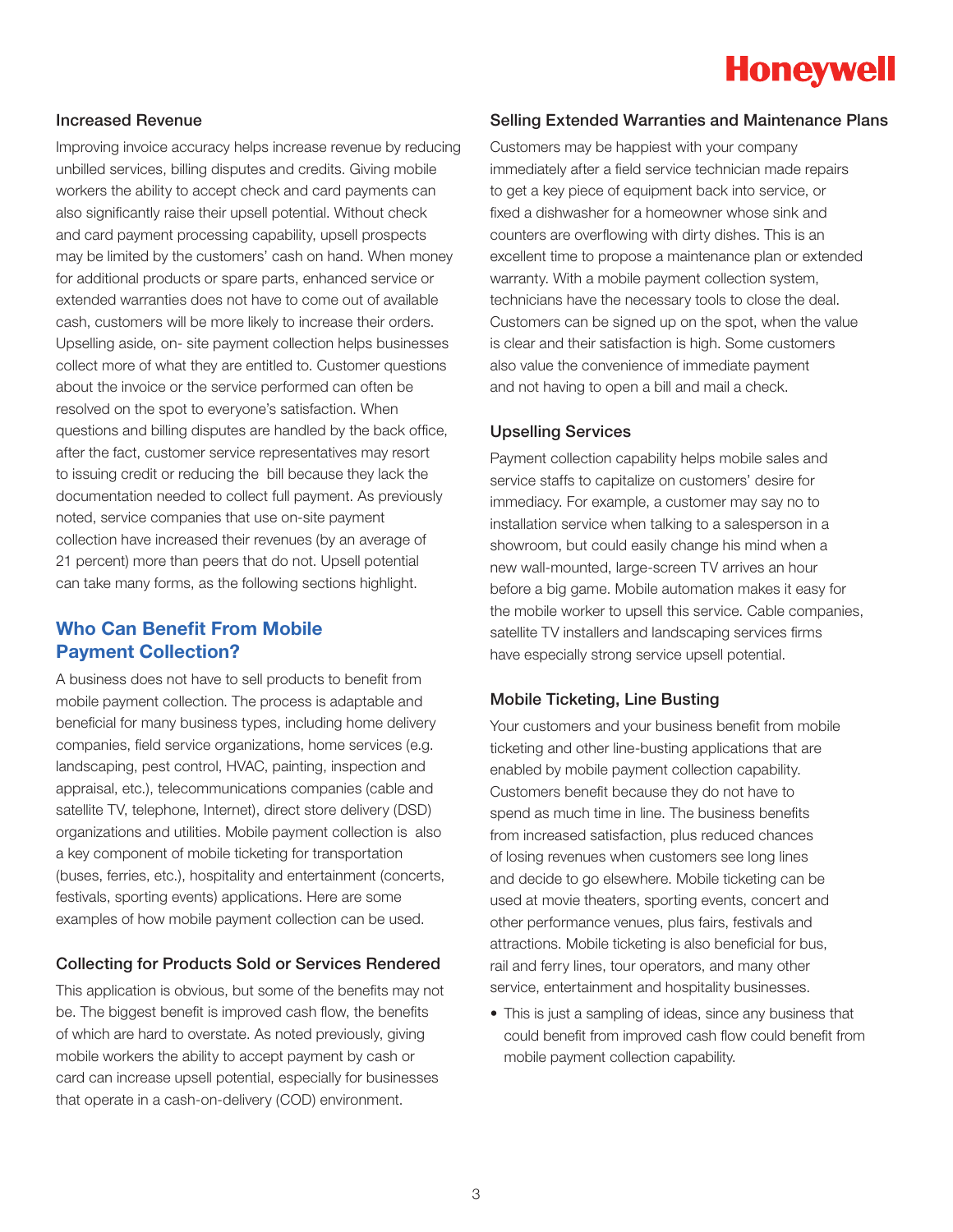### Increased Revenue

Improving invoice accuracy helps increase revenue by reducing unbilled services, billing disputes and credits. Giving mobile workers the ability to accept check and card payments can also significantly raise their upsell potential. Without check and card payment processing capability, upsell prospects may be limited by the customers' cash on hand. When money for additional products or spare parts, enhanced service or extended warranties does not have to come out of available cash, customers will be more likely to increase their orders. Upselling aside, on- site payment collection helps businesses collect more of what they are entitled to. Customer questions about the invoice or the service performed can often be resolved on the spot to everyone's satisfaction. When questions and billing disputes are handled by the back office, after the fact, customer service representatives may resort to issuing credit or reducing the bill because they lack the documentation needed to collect full payment. As previously noted, service companies that use on-site payment collection have increased their revenues (by an average of 21 percent) more than peers that do not. Upsell potential can take many forms, as the following sections highlight.

### **Who Can Benefit From Mobile Payment Collection?**

A business does not have to sell products to benefit from mobile payment collection. The process is adaptable and beneficial for many business types, including home delivery companies, field service organizations, home services (e.g. landscaping, pest control, HVAC, painting, inspection and appraisal, etc.), telecommunications companies (cable and satellite TV, telephone, Internet), direct store delivery (DSD) organizations and utilities. Mobile payment collection is also a key component of mobile ticketing for transportation (buses, ferries, etc.), hospitality and entertainment (concerts, festivals, sporting events) applications. Here are some examples of how mobile payment collection can be used.

#### Collecting for Products Sold or Services Rendered

This application is obvious, but some of the benefits may not be. The biggest benefit is improved cash flow, the benefits of which are hard to overstate. As noted previously, giving mobile workers the ability to accept payment by cash or card can increase upsell potential, especially for businesses that operate in a cash-on-delivery (COD) environment.

#### Selling Extended Warranties and Maintenance Plans

Customers may be happiest with your company immediately after a field service technician made repairs to get a key piece of equipment back into service, or fixed a dishwasher for a homeowner whose sink and counters are overflowing with dirty dishes. This is an excellent time to propose a maintenance plan or extended warranty. With a mobile payment collection system, technicians have the necessary tools to close the deal. Customers can be signed up on the spot, when the value is clear and their satisfaction is high. Some customers also value the convenience of immediate payment and not having to open a bill and mail a check.

#### Upselling Services

Payment collection capability helps mobile sales and service staffs to capitalize on customers' desire for immediacy. For example, a customer may say no to installation service when talking to a salesperson in a showroom, but could easily change his mind when a new wall-mounted, large-screen TV arrives an hour before a big game. Mobile automation makes it easy for the mobile worker to upsell this service. Cable companies, satellite TV installers and landscaping services firms have especially strong service upsell potential.

#### Mobile Ticketing, Line Busting

Your customers and your business benefit from mobile ticketing and other line-busting applications that are enabled by mobile payment collection capability. Customers benefit because they do not have to spend as much time in line. The business benefits from increased satisfaction, plus reduced chances of losing revenues when customers see long lines and decide to go elsewhere. Mobile ticketing can be used at movie theaters, sporting events, concert and other performance venues, plus fairs, festivals and attractions. Mobile ticketing is also beneficial for bus, rail and ferry lines, tour operators, and many other service, entertainment and hospitality businesses.

• This is just a sampling of ideas, since any business that could benefit from improved cash flow could benefit from mobile payment collection capability.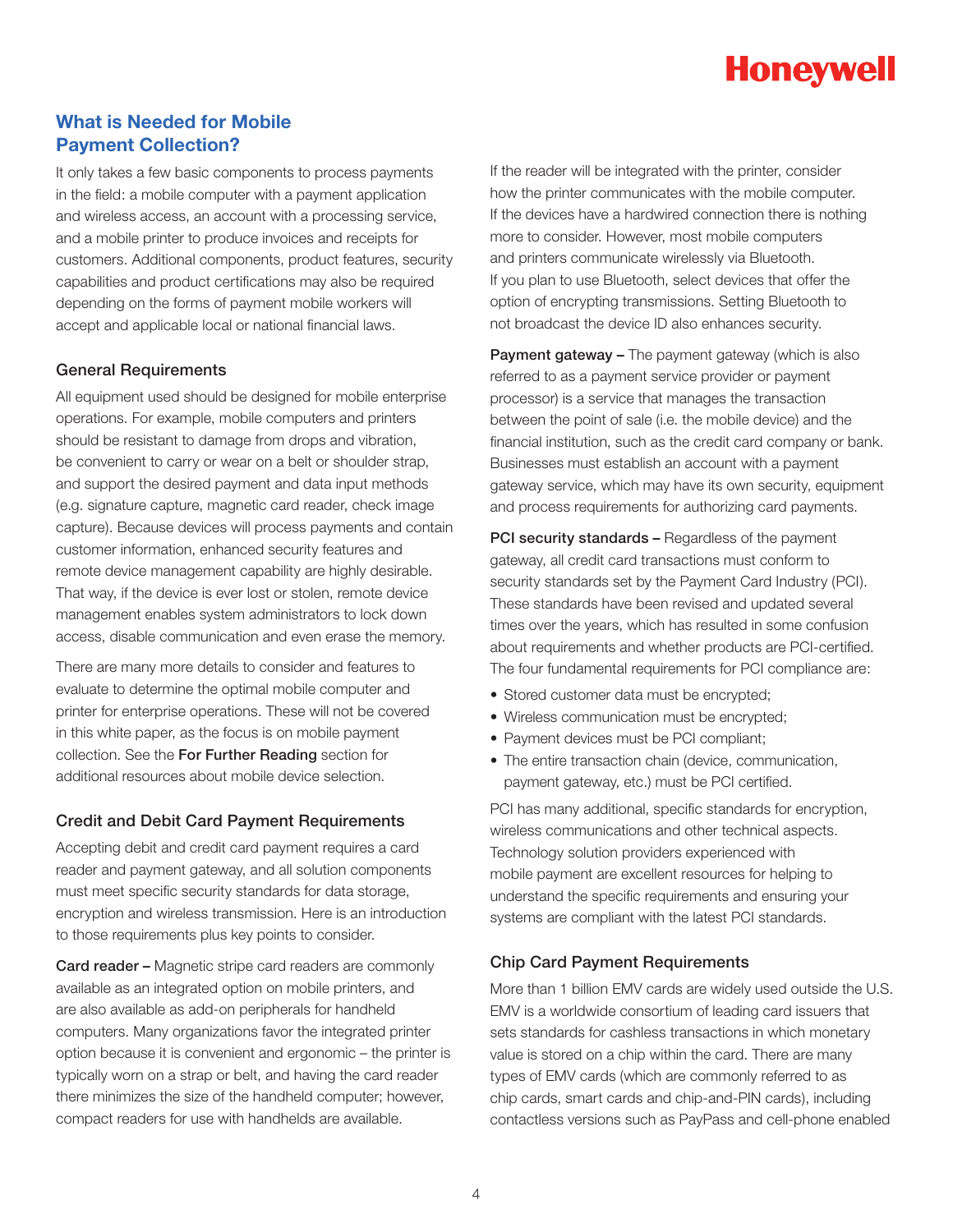### **What is Needed for Mobile Payment Collection?**

It only takes a few basic components to process payments in the field: a mobile computer with a payment application and wireless access, an account with a processing service, and a mobile printer to produce invoices and receipts for customers. Additional components, product features, security capabilities and product certifications may also be required depending on the forms of payment mobile workers will accept and applicable local or national financial laws.

#### General Requirements

All equipment used should be designed for mobile enterprise operations. For example, mobile computers and printers should be resistant to damage from drops and vibration, be convenient to carry or wear on a belt or shoulder strap, and support the desired payment and data input methods (e.g. signature capture, magnetic card reader, check image capture). Because devices will process payments and contain customer information, enhanced security features and remote device management capability are highly desirable. That way, if the device is ever lost or stolen, remote device management enables system administrators to lock down access, disable communication and even erase the memory.

There are many more details to consider and features to evaluate to determine the optimal mobile computer and printer for enterprise operations. These will not be covered in this white paper, as the focus is on mobile payment collection. See the For Further Reading section for additional resources about mobile device selection.

#### Credit and Debit Card Payment Requirements

Accepting debit and credit card payment requires a card reader and payment gateway, and all solution components must meet specific security standards for data storage, encryption and wireless transmission. Here is an introduction to those requirements plus key points to consider.

Card reader – Magnetic stripe card readers are commonly available as an integrated option on mobile printers, and are also available as add-on peripherals for handheld computers. Many organizations favor the integrated printer option because it is convenient and ergonomic – the printer is typically worn on a strap or belt, and having the card reader there minimizes the size of the handheld computer; however, compact readers for use with handhelds are available.

If the reader will be integrated with the printer, consider how the printer communicates with the mobile computer. If the devices have a hardwired connection there is nothing more to consider. However, most mobile computers and printers communicate wirelessly via Bluetooth. If you plan to use Bluetooth, select devices that offer the option of encrypting transmissions. Setting Bluetooth to not broadcast the device ID also enhances security.

**Payment gateway –** The payment gateway (which is also referred to as a payment service provider or payment processor) is a service that manages the transaction between the point of sale (i.e. the mobile device) and the financial institution, such as the credit card company or bank. Businesses must establish an account with a payment gateway service, which may have its own security, equipment and process requirements for authorizing card payments.

PCI security standards - Regardless of the payment gateway, all credit card transactions must conform to security standards set by the Payment Card Industry (PCI). These standards have been revised and updated several times over the years, which has resulted in some confusion about requirements and whether products are PCI-certified. The four fundamental requirements for PCI compliance are:

- Stored customer data must be encrypted;
- Wireless communication must be encrypted;
- Payment devices must be PCI compliant;
- The entire transaction chain (device, communication, payment gateway, etc.) must be PCI certified.

PCI has many additional, specific standards for encryption, wireless communications and other technical aspects. Technology solution providers experienced with mobile payment are excellent resources for helping to understand the specific requirements and ensuring your systems are compliant with the latest PCI standards.

#### Chip Card Payment Requirements

More than 1 billion EMV cards are widely used outside the U.S. EMV is a worldwide consortium of leading card issuers that sets standards for cashless transactions in which monetary value is stored on a chip within the card. There are many types of EMV cards (which are commonly referred to as chip cards, smart cards and chip-and-PIN cards), including contactless versions such as PayPass and cell-phone enabled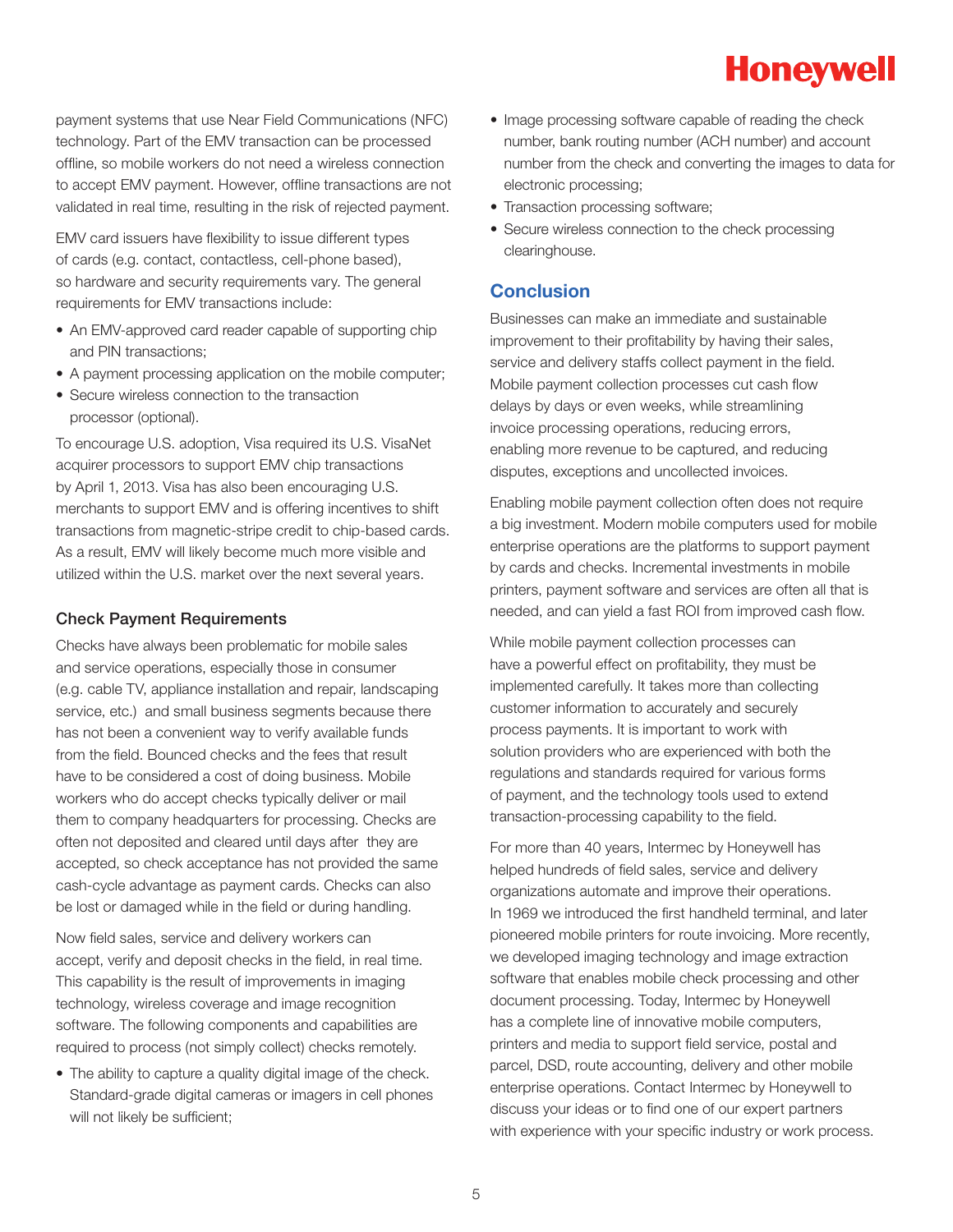

payment systems that use Near Field Communications (NFC) technology. Part of the EMV transaction can be processed offline, so mobile workers do not need a wireless connection to accept EMV payment. However, offline transactions are not validated in real time, resulting in the risk of rejected payment.

EMV card issuers have flexibility to issue different types of cards (e.g. contact, contactless, cell-phone based), so hardware and security requirements vary. The general requirements for EMV transactions include:

- An EMV-approved card reader capable of supporting chip and PIN transactions;
- A payment processing application on the mobile computer;
- Secure wireless connection to the transaction processor (optional).

To encourage U.S. adoption, Visa required its U.S. VisaNet acquirer processors to support EMV chip transactions by April 1, 2013. Visa has also been encouraging U.S. merchants to support EMV and is offering incentives to shift transactions from magnetic-stripe credit to chip-based cards. As a result, EMV will likely become much more visible and utilized within the U.S. market over the next several years.

#### Check Payment Requirements

Checks have always been problematic for mobile sales and service operations, especially those in consumer (e.g. cable TV, appliance installation and repair, landscaping service, etc.) and small business segments because there has not been a convenient way to verify available funds from the field. Bounced checks and the fees that result have to be considered a cost of doing business. Mobile workers who do accept checks typically deliver or mail them to company headquarters for processing. Checks are often not deposited and cleared until days after they are accepted, so check acceptance has not provided the same cash-cycle advantage as payment cards. Checks can also be lost or damaged while in the field or during handling.

Now field sales, service and delivery workers can accept, verify and deposit checks in the field, in real time. This capability is the result of improvements in imaging technology, wireless coverage and image recognition software. The following components and capabilities are required to process (not simply collect) checks remotely.

• The ability to capture a quality digital image of the check. Standard-grade digital cameras or imagers in cell phones will not likely be sufficient;

- Image processing software capable of reading the check number, bank routing number (ACH number) and account number from the check and converting the images to data for electronic processing;
- Transaction processing software;
- Secure wireless connection to the check processing clearinghouse.

### **Conclusion**

Businesses can make an immediate and sustainable improvement to their profitability by having their sales, service and delivery staffs collect payment in the field. Mobile payment collection processes cut cash flow delays by days or even weeks, while streamlining invoice processing operations, reducing errors, enabling more revenue to be captured, and reducing disputes, exceptions and uncollected invoices.

Enabling mobile payment collection often does not require a big investment. Modern mobile computers used for mobile enterprise operations are the platforms to support payment by cards and checks. Incremental investments in mobile printers, payment software and services are often all that is needed, and can yield a fast ROI from improved cash flow.

While mobile payment collection processes can have a powerful effect on profitability, they must be implemented carefully. It takes more than collecting customer information to accurately and securely process payments. It is important to work with solution providers who are experienced with both the regulations and standards required for various forms of payment, and the technology tools used to extend transaction-processing capability to the field.

For more than 40 years, Intermec by Honeywell has helped hundreds of field sales, service and delivery organizations automate and improve their operations. In 1969 we introduced the first handheld terminal, and later pioneered mobile printers for route invoicing. More recently, we developed imaging technology and image extraction software that enables mobile check processing and other document processing. Today, Intermec by Honeywell has a complete line of innovative mobile computers, printers and media to support field service, postal and parcel, DSD, route accounting, delivery and other mobile enterprise operations. Contact Intermec by Honeywell to discuss your ideas or to find one of our expert partners with experience with your specific industry or work process.